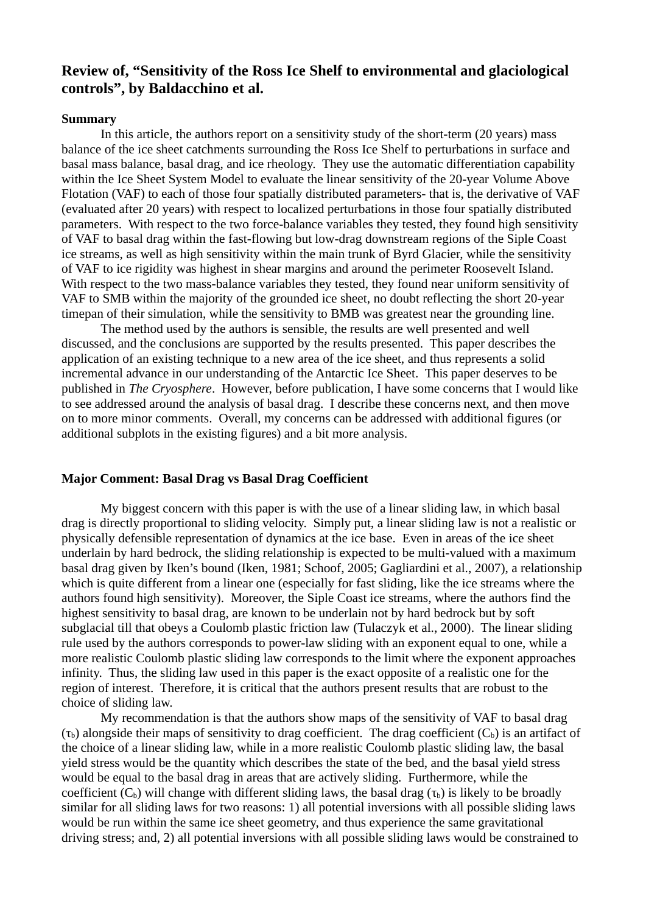# **Review of, "Sensitivity of the Ross Ice Shelf to environmental and glaciological controls", by Baldacchino et al.**

#### **Summary**

In this article, the authors report on a sensitivity study of the short-term (20 years) mass balance of the ice sheet catchments surrounding the Ross Ice Shelf to perturbations in surface and basal mass balance, basal drag, and ice rheology. They use the automatic differentiation capability within the Ice Sheet System Model to evaluate the linear sensitivity of the 20-year Volume Above Flotation (VAF) to each of those four spatially distributed parameters- that is, the derivative of VAF (evaluated after 20 years) with respect to localized perturbations in those four spatially distributed parameters. With respect to the two force-balance variables they tested, they found high sensitivity of VAF to basal drag within the fast-flowing but low-drag downstream regions of the Siple Coast ice streams, as well as high sensitivity within the main trunk of Byrd Glacier, while the sensitivity of VAF to ice rigidity was highest in shear margins and around the perimeter Roosevelt Island. With respect to the two mass-balance variables they tested, they found near uniform sensitivity of VAF to SMB within the majority of the grounded ice sheet, no doubt reflecting the short 20-year timepan of their simulation, while the sensitivity to BMB was greatest near the grounding line.

The method used by the authors is sensible, the results are well presented and well discussed, and the conclusions are supported by the results presented. This paper describes the application of an existing technique to a new area of the ice sheet, and thus represents a solid incremental advance in our understanding of the Antarctic Ice Sheet. This paper deserves to be published in *The Cryosphere*. However, before publication, I have some concerns that I would like to see addressed around the analysis of basal drag. I describe these concerns next, and then move on to more minor comments. Overall, my concerns can be addressed with additional figures (or additional subplots in the existing figures) and a bit more analysis.

#### **Major Comment: Basal Drag vs Basal Drag Coefficient**

My biggest concern with this paper is with the use of a linear sliding law, in which basal drag is directly proportional to sliding velocity. Simply put, a linear sliding law is not a realistic or physically defensible representation of dynamics at the ice base. Even in areas of the ice sheet underlain by hard bedrock, the sliding relationship is expected to be multi-valued with a maximum basal drag given by Iken's bound (Iken, 1981; Schoof, 2005; Gagliardini et al., 2007), a relationship which is quite different from a linear one (especially for fast sliding, like the ice streams where the authors found high sensitivity). Moreover, the Siple Coast ice streams, where the authors find the highest sensitivity to basal drag, are known to be underlain not by hard bedrock but by soft subglacial till that obeys a Coulomb plastic friction law (Tulaczyk et al., 2000). The linear sliding rule used by the authors corresponds to power-law sliding with an exponent equal to one, while a more realistic Coulomb plastic sliding law corresponds to the limit where the exponent approaches infinity. Thus, the sliding law used in this paper is the exact opposite of a realistic one for the region of interest. Therefore, it is critical that the authors present results that are robust to the choice of sliding law.

My recommendation is that the authors show maps of the sensitivity of VAF to basal drag  $(T_b)$  alongside their maps of sensitivity to drag coefficient. The drag coefficient  $(C_b)$  is an artifact of the choice of a linear sliding law, while in a more realistic Coulomb plastic sliding law, the basal yield stress would be the quantity which describes the state of the bed, and the basal yield stress would be equal to the basal drag in areas that are actively sliding. Furthermore, while the coefficient  $(C_b)$  will change with different sliding laws, the basal drag  $(\tau_b)$  is likely to be broadly similar for all sliding laws for two reasons: 1) all potential inversions with all possible sliding laws would be run within the same ice sheet geometry, and thus experience the same gravitational driving stress; and, 2) all potential inversions with all possible sliding laws would be constrained to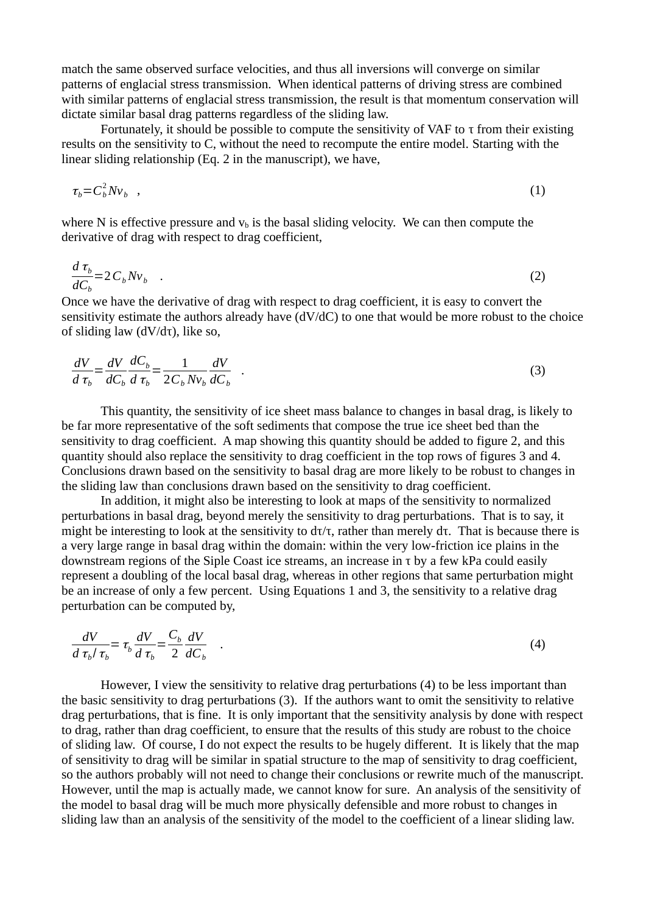match the same observed surface velocities, and thus all inversions will converge on similar patterns of englacial stress transmission. When identical patterns of driving stress are combined with similar patterns of englacial stress transmission, the result is that momentum conservation will dictate similar basal drag patterns regardless of the sliding law.

Fortunately, it should be possible to compute the sensitivity of VAF to τ from their existing results on the sensitivity to C, without the need to recompute the entire model. Starting with the linear sliding relationship (Eq. 2 in the manuscript), we have,

$$
\tau_b = C_b^2 N v_b \quad , \tag{1}
$$

where N is effective pressure and  $v<sub>b</sub>$  is the basal sliding velocity. We can then compute the derivative of drag with respect to drag coefficient,

$$
\frac{d\,\tau_b}{dC_b} = 2\,C_b N v_b \quad . \tag{2}
$$

Once we have the derivative of drag with respect to drag coefficient, it is easy to convert the sensitivity estimate the authors already have (dV/dC) to one that would be more robust to the choice of sliding law (dV/dτ), like so,

$$
\frac{dV}{d\tau_b} = \frac{dV}{dC_b}\frac{dC_b}{d\tau_b} = \frac{1}{2C_b Nv_b}\frac{dV}{dC_b} \quad . \tag{3}
$$

This quantity, the sensitivity of ice sheet mass balance to changes in basal drag, is likely to be far more representative of the soft sediments that compose the true ice sheet bed than the sensitivity to drag coefficient. A map showing this quantity should be added to figure 2, and this quantity should also replace the sensitivity to drag coefficient in the top rows of figures 3 and 4. Conclusions drawn based on the sensitivity to basal drag are more likely to be robust to changes in the sliding law than conclusions drawn based on the sensitivity to drag coefficient.

In addition, it might also be interesting to look at maps of the sensitivity to normalized perturbations in basal drag, beyond merely the sensitivity to drag perturbations. That is to say, it might be interesting to look at the sensitivity to  $d\tau/\tau$ , rather than merely  $d\tau$ . That is because there is a very large range in basal drag within the domain: within the very low-friction ice plains in the downstream regions of the Siple Coast ice streams, an increase in τ by a few kPa could easily represent a doubling of the local basal drag, whereas in other regions that same perturbation might be an increase of only a few percent. Using Equations 1 and 3, the sensitivity to a relative drag perturbation can be computed by,

$$
\frac{dV}{d\tau_b/\tau_b} = \tau_b \frac{dV}{d\tau_b} = \frac{C_b}{2} \frac{dV}{dC_b} \quad . \tag{4}
$$

However, I view the sensitivity to relative drag perturbations (4) to be less important than the basic sensitivity to drag perturbations (3). If the authors want to omit the sensitivity to relative drag perturbations, that is fine. It is only important that the sensitivity analysis by done with respect to drag, rather than drag coefficient, to ensure that the results of this study are robust to the choice of sliding law. Of course, I do not expect the results to be hugely different. It is likely that the map of sensitivity to drag will be similar in spatial structure to the map of sensitivity to drag coefficient, so the authors probably will not need to change their conclusions or rewrite much of the manuscript. However, until the map is actually made, we cannot know for sure. An analysis of the sensitivity of the model to basal drag will be much more physically defensible and more robust to changes in sliding law than an analysis of the sensitivity of the model to the coefficient of a linear sliding law.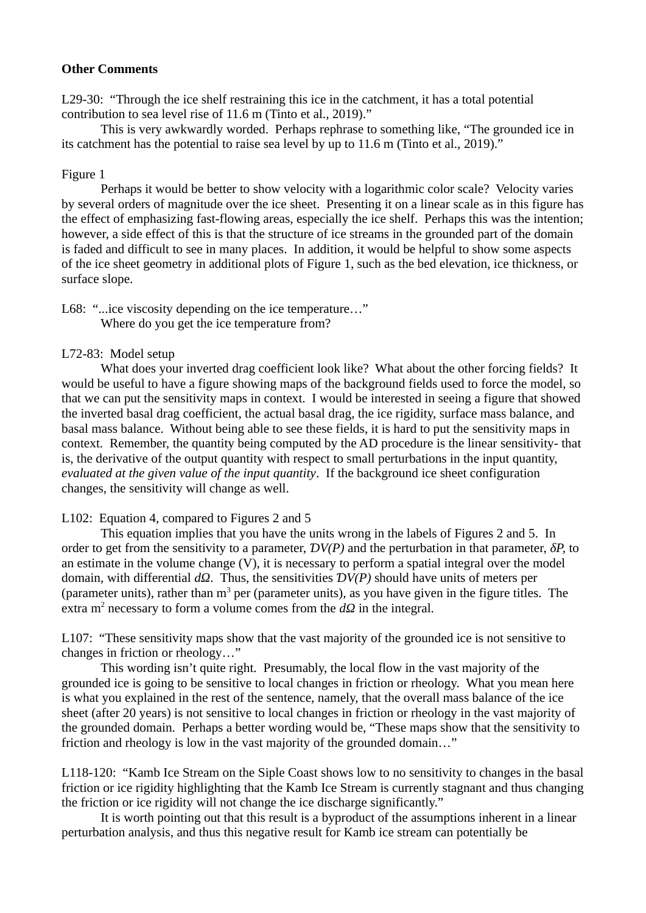#### **Other Comments**

L29-30: "Through the ice shelf restraining this ice in the catchment, it has a total potential contribution to sea level rise of 11.6 m (Tinto et al., 2019)."

This is very awkwardly worded. Perhaps rephrase to something like, "The grounded ice in its catchment has the potential to raise sea level by up to 11.6 m (Tinto et al., 2019)."

## Figure 1

Perhaps it would be better to show velocity with a logarithmic color scale? Velocity varies by several orders of magnitude over the ice sheet. Presenting it on a linear scale as in this figure has the effect of emphasizing fast-flowing areas, especially the ice shelf. Perhaps this was the intention; however, a side effect of this is that the structure of ice streams in the grounded part of the domain is faded and difficult to see in many places. In addition, it would be helpful to show some aspects of the ice sheet geometry in additional plots of Figure 1, such as the bed elevation, ice thickness, or surface slope.

L68: "...ice viscosity depending on the ice temperature…" Where do you get the ice temperature from?

## L72-83: Model setup

What does your inverted drag coefficient look like? What about the other forcing fields? It would be useful to have a figure showing maps of the background fields used to force the model, so that we can put the sensitivity maps in context. I would be interested in seeing a figure that showed the inverted basal drag coefficient, the actual basal drag, the ice rigidity, surface mass balance, and basal mass balance. Without being able to see these fields, it is hard to put the sensitivity maps in context. Remember, the quantity being computed by the AD procedure is the linear sensitivity- that is, the derivative of the output quantity with respect to small perturbations in the input quantity, *evaluated at the given value of the input quantity*. If the background ice sheet configuration changes, the sensitivity will change as well.

L102: Equation 4, compared to Figures 2 and 5

This equation implies that you have the units wrong in the labels of Figures 2 and 5. In order to get from the sensitivity to a parameter, *ƊV(P)* and the perturbation in that parameter, *δP,* to an estimate in the volume change (V), it is necessary to perform a spatial integral over the model domain, with differential *dΩ*. Thus, the sensitivities *ƊV(P)* should have units of meters per (parameter units), rather than  $m^3$  per (parameter units), as you have given in the figure titles. The extra m<sup>2</sup> necessary to form a volume comes from the  $d\Omega$  in the integral.

L107: "These sensitivity maps show that the vast majority of the grounded ice is not sensitive to changes in friction or rheology…"

This wording isn't quite right. Presumably, the local flow in the vast majority of the grounded ice is going to be sensitive to local changes in friction or rheology. What you mean here is what you explained in the rest of the sentence, namely, that the overall mass balance of the ice sheet (after 20 years) is not sensitive to local changes in friction or rheology in the vast majority of the grounded domain. Perhaps a better wording would be, "These maps show that the sensitivity to friction and rheology is low in the vast majority of the grounded domain…"

L118-120: "Kamb Ice Stream on the Siple Coast shows low to no sensitivity to changes in the basal friction or ice rigidity highlighting that the Kamb Ice Stream is currently stagnant and thus changing the friction or ice rigidity will not change the ice discharge significantly."

It is worth pointing out that this result is a byproduct of the assumptions inherent in a linear perturbation analysis, and thus this negative result for Kamb ice stream can potentially be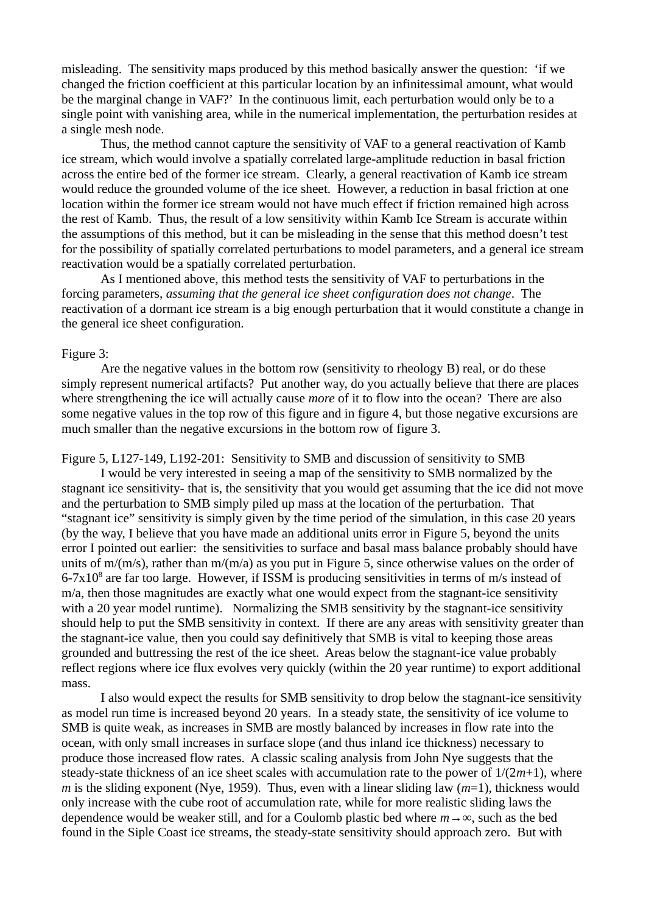misleading. The sensitivity maps produced by this method basically answer the question: 'if we changed the friction coefficient at this particular location by an infinitessimal amount, what would be the marginal change in VAF?' In the continuous limit, each perturbation would only be to a single point with vanishing area, while in the numerical implementation, the perturbation resides at a single mesh node.

Thus, the method cannot capture the sensitivity of VAF to a general reactivation of Kamb ice stream, which would involve a spatially correlated large-amplitude reduction in basal friction across the entire bed of the former ice stream. Clearly, a general reactivation of Kamb ice stream would reduce the grounded volume of the ice sheet. However, a reduction in basal friction at one location within the former ice stream would not have much effect if friction remained high across the rest of Kamb. Thus, the result of a low sensitivity within Kamb Ice Stream is accurate within the assumptions of this method, but it can be misleading in the sense that this method doesn't test for the possibility of spatially correlated perturbations to model parameters, and a general ice stream reactivation would be a spatially correlated perturbation.

As I mentioned above, this method tests the sensitivity of VAF to perturbations in the forcing parameters, *assuming that the general ice sheet configuration does not change*. The reactivation of a dormant ice stream is a big enough perturbation that it would constitute a change in the general ice sheet configuration.

#### Figure 3:

Are the negative values in the bottom row (sensitivity to rheology B) real, or do these simply represent numerical artifacts? Put another way, do you actually believe that there are places where strengthening the ice will actually cause *more* of it to flow into the ocean? There are also some negative values in the top row of this figure and in figure 4, but those negative excursions are much smaller than the negative excursions in the bottom row of figure 3.

Figure 5, L127-149, L192-201: Sensitivity to SMB and discussion of sensitivity to SMB

I would be very interested in seeing a map of the sensitivity to SMB normalized by the stagnant ice sensitivity- that is, the sensitivity that you would get assuming that the ice did not move and the perturbation to SMB simply piled up mass at the location of the perturbation. That "stagnant ice" sensitivity is simply given by the time period of the simulation, in this case 20 years (by the way, I believe that you have made an additional units error in Figure 5, beyond the units error I pointed out earlier: the sensitivities to surface and basal mass balance probably should have units of m/(m/s), rather than m/(m/a) as you put in Figure 5, since otherwise values on the order of  $6-7x10<sup>8</sup>$  are far too large. However, if ISSM is producing sensitivities in terms of m/s instead of m/a, then those magnitudes are exactly what one would expect from the stagnant-ice sensitivity with a 20 year model runtime). Normalizing the SMB sensitivity by the stagnant-ice sensitivity should help to put the SMB sensitivity in context. If there are any areas with sensitivity greater than the stagnant-ice value, then you could say definitively that SMB is vital to keeping those areas grounded and buttressing the rest of the ice sheet. Areas below the stagnant-ice value probably reflect regions where ice flux evolves very quickly (within the 20 year runtime) to export additional mass.

I also would expect the results for SMB sensitivity to drop below the stagnant-ice sensitivity as model run time is increased beyond 20 years. In a steady state, the sensitivity of ice volume to SMB is quite weak, as increases in SMB are mostly balanced by increases in flow rate into the ocean, with only small increases in surface slope (and thus inland ice thickness) necessary to produce those increased flow rates. A classic scaling analysis from John Nye suggests that the steady-state thickness of an ice sheet scales with accumulation rate to the power of 1/(2*m*+1), where *m* is the sliding exponent (Nye, 1959). Thus, even with a linear sliding law (*m*=1), thickness would only increase with the cube root of accumulation rate, while for more realistic sliding laws the dependence would be weaker still, and for a Coulomb plastic bed where *m*→∞, such as the bed found in the Siple Coast ice streams, the steady-state sensitivity should approach zero. But with